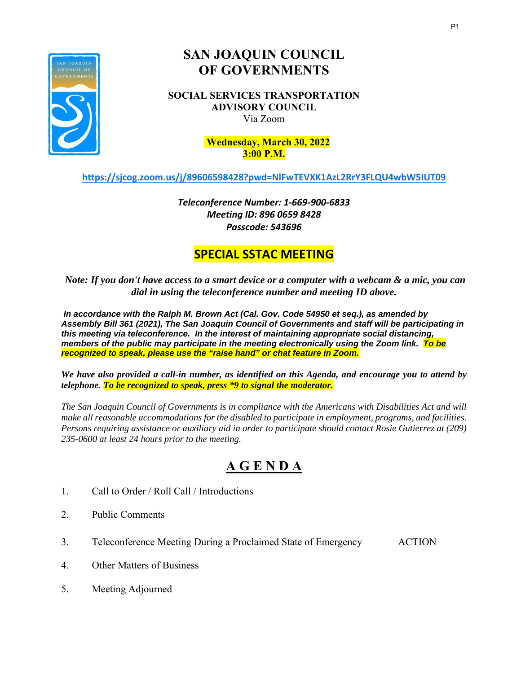

# **SAN JOAQUIN COUNCIL OF GOVERNMENTS**

**SOCIAL SERVICES TRANSPORTATION ADVISORY COUNCIL**  Via Zoom

#### **, 2021 Wednesday, March 30, 2022 3:00 P.M.**

**<https://sjcog.zoom.us/j/89606598428?pwd=NlFwTEVXK1AzL2RrY3FLQU4wbW5IUT09>**

*Teleconference Number: 1‐669‐900‐6833 Meeting ID: 896 0659 8428 Passcode: 543696* 

## **SPECIAL SSTAC MEETING**

*Note: If you don't have access to a smart device or a computer with a webcam & a mic, you can dial in using the teleconference number and meeting ID above.*

*In accordance with the Ralph M. Brown Act (Cal. Gov. Code 54950 et seq.), as amended by Assembly Bill 361 (2021), The San Joaquin Council of Governments and staff will be participating in this meeting via teleconference. In the interest of maintaining appropriate social distancing, members of the public may participate in the meeting electronically using the Zoom link. To be recognized to speak, please use the "raise hand" or chat feature in Zoom.* 

*We have also provided a call-in number, as identified on this Agenda, and encourage you to attend by telephone. To be recognized to speak, press \*9 to signal the moderator.* 

*The San Joaquin Council of Governments is in compliance with the Americans with Disabilities Act and will make all reasonable accommodations for the disabled to participate in employment, programs, and facilities. Persons requiring assistance or auxiliary aid in order to participate should contact Rosie Gutierrez at (209) 235-0600 at least 24 hours prior to the meeting.* 

# **A G E N D A**

- 1. Call to Order / Roll Call / Introductions
- 2. Public Comments
- 3. Teleconference Meeting During a Proclaimed State of Emergency ACTION
- 4. Other Matters of Business
- 5. Meeting Adjourned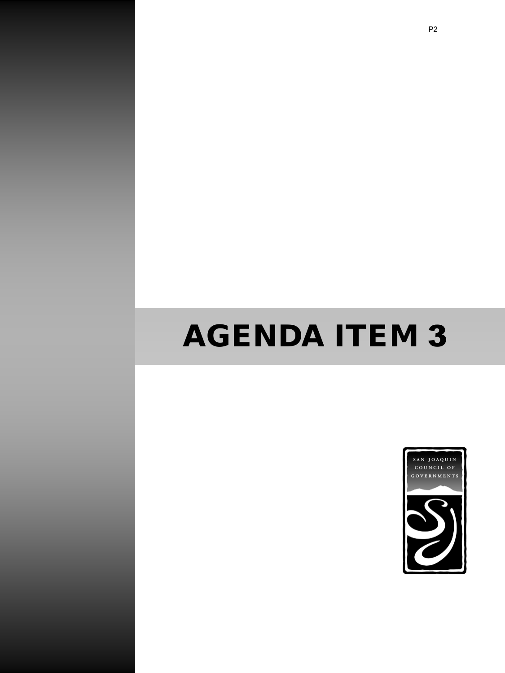# AGENDA ITEM 3

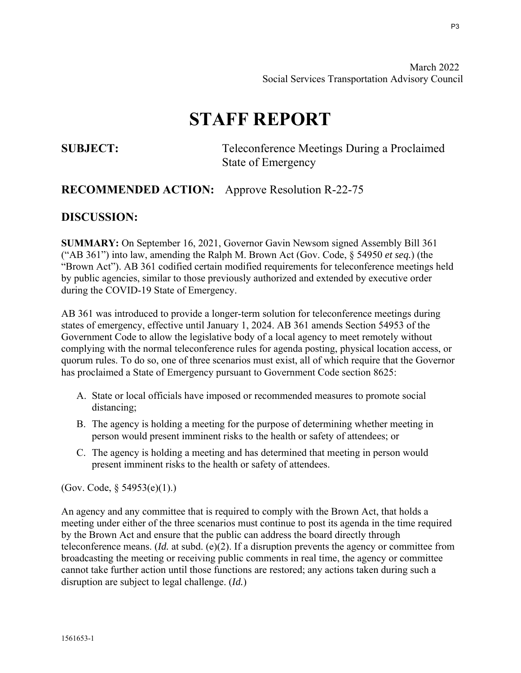March 2022 Social Services Transportation Advisory Council

# **STAFF REPORT**

**SUBJECT:** Teleconference Meetings During a Proclaimed State of Emergency

#### **RECOMMENDED ACTION:** Approve Resolution R-22-75

#### **DISCUSSION:**

**SUMMARY:** On September 16, 2021, Governor Gavin Newsom signed Assembly Bill 361 ("AB 361") into law, amending the Ralph M. Brown Act (Gov. Code, § 54950 *et seq.*) (the "Brown Act"). AB 361 codified certain modified requirements for teleconference meetings held by public agencies, similar to those previously authorized and extended by executive order during the COVID-19 State of Emergency.

AB 361 was introduced to provide a longer-term solution for teleconference meetings during states of emergency, effective until January 1, 2024. AB 361 amends Section 54953 of the Government Code to allow the legislative body of a local agency to meet remotely without complying with the normal teleconference rules for agenda posting, physical location access, or quorum rules. To do so, one of three scenarios must exist, all of which require that the Governor has proclaimed a State of Emergency pursuant to Government Code section 8625:

- A. State or local officials have imposed or recommended measures to promote social distancing;
- B. The agency is holding a meeting for the purpose of determining whether meeting in person would present imminent risks to the health or safety of attendees; or
- C. The agency is holding a meeting and has determined that meeting in person would present imminent risks to the health or safety of attendees.

(Gov. Code, § 54953(e)(1).)

An agency and any committee that is required to comply with the Brown Act, that holds a meeting under either of the three scenarios must continue to post its agenda in the time required by the Brown Act and ensure that the public can address the board directly through teleconference means. (*Id.* at subd. (e)(2). If a disruption prevents the agency or committee from broadcasting the meeting or receiving public comments in real time, the agency or committee cannot take further action until those functions are restored; any actions taken during such a disruption are subject to legal challenge. (*Id.*)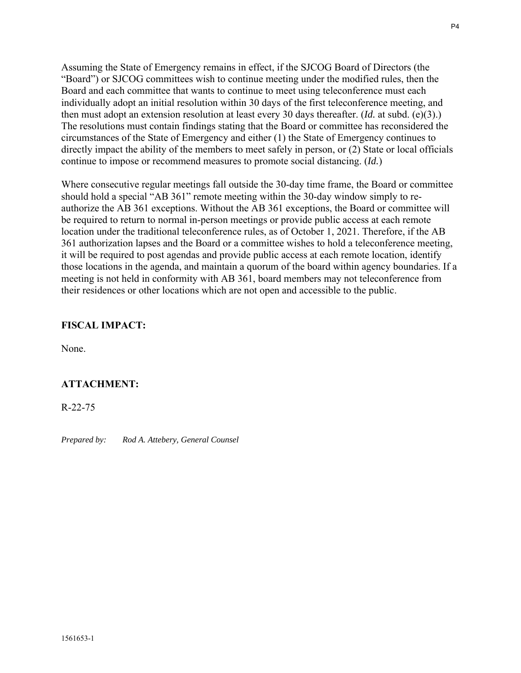Assuming the State of Emergency remains in effect, if the SJCOG Board of Directors (the "Board") or SJCOG committees wish to continue meeting under the modified rules, then the Board and each committee that wants to continue to meet using teleconference must each individually adopt an initial resolution within 30 days of the first teleconference meeting, and then must adopt an extension resolution at least every 30 days thereafter. (*Id.* at subd. (e)(3).) The resolutions must contain findings stating that the Board or committee has reconsidered the circumstances of the State of Emergency and either (1) the State of Emergency continues to directly impact the ability of the members to meet safely in person, or (2) State or local officials continue to impose or recommend measures to promote social distancing. (*Id.*)

Where consecutive regular meetings fall outside the 30-day time frame, the Board or committee should hold a special "AB 361" remote meeting within the 30-day window simply to reauthorize the AB 361 exceptions. Without the AB 361 exceptions, the Board or committee will be required to return to normal in-person meetings or provide public access at each remote location under the traditional teleconference rules, as of October 1, 2021. Therefore, if the AB 361 authorization lapses and the Board or a committee wishes to hold a teleconference meeting, it will be required to post agendas and provide public access at each remote location, identify those locations in the agenda, and maintain a quorum of the board within agency boundaries. If a meeting is not held in conformity with AB 361, board members may not teleconference from their residences or other locations which are not open and accessible to the public.

#### **FISCAL IMPACT:**

None.

#### **ATTACHMENT:**

R-22-75

*Prepared by: Rod A. Attebery, General Counsel*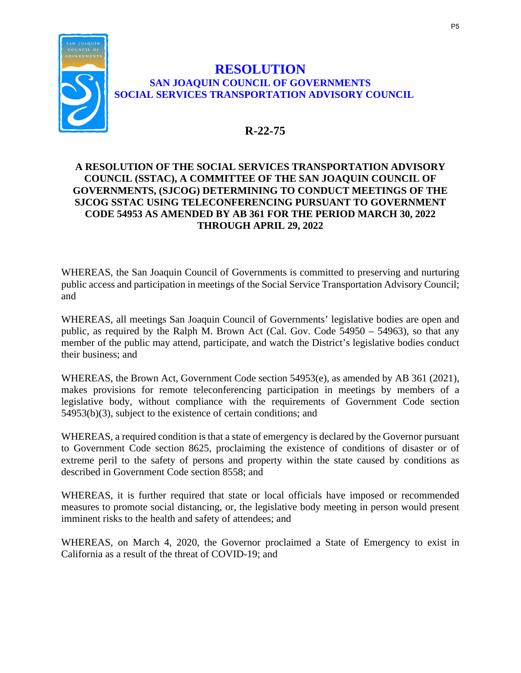

#### **RESOLUTION SAN JOAQUIN COUNCIL OF GOVERNMENTS SOCIAL SERVICES TRANSPORTATION ADVISORY COUNCIL**

### **R-22-75**

#### **A RESOLUTION OF THE SOCIAL SERVICES TRANSPORTATION ADVISORY COUNCIL (SSTAC), A COMMITTEE OF THE SAN JOAQUIN COUNCIL OF GOVERNMENTS, (SJCOG) DETERMINING TO CONDUCT MEETINGS OF THE SJCOG SSTAC USING TELECONFERENCING PURSUANT TO GOVERNMENT CODE 54953 AS AMENDED BY AB 361 FOR THE PERIOD MARCH 30, 2022 THROUGH APRIL 29, 2022**

WHEREAS, the San Joaquin Council of Governments is committed to preserving and nurturing public access and participation in meetings of the Social Service Transportation Advisory Council; and

WHEREAS, all meetings San Joaquin Council of Governments' legislative bodies are open and public, as required by the Ralph M. Brown Act (Cal. Gov. Code 54950 – 54963), so that any member of the public may attend, participate, and watch the District's legislative bodies conduct their business; and

WHEREAS, the Brown Act, Government Code section 54953(e), as amended by AB 361 (2021), makes provisions for remote teleconferencing participation in meetings by members of a legislative body, without compliance with the requirements of Government Code section 54953(b)(3), subject to the existence of certain conditions; and

WHEREAS, a required condition is that a state of emergency is declared by the Governor pursuant to Government Code section 8625, proclaiming the existence of conditions of disaster or of extreme peril to the safety of persons and property within the state caused by conditions as described in Government Code section 8558; and

WHEREAS, it is further required that state or local officials have imposed or recommended measures to promote social distancing, or, the legislative body meeting in person would present imminent risks to the health and safety of attendees; and

WHEREAS, on March 4, 2020, the Governor proclaimed a State of Emergency to exist in California as a result of the threat of COVID-19; and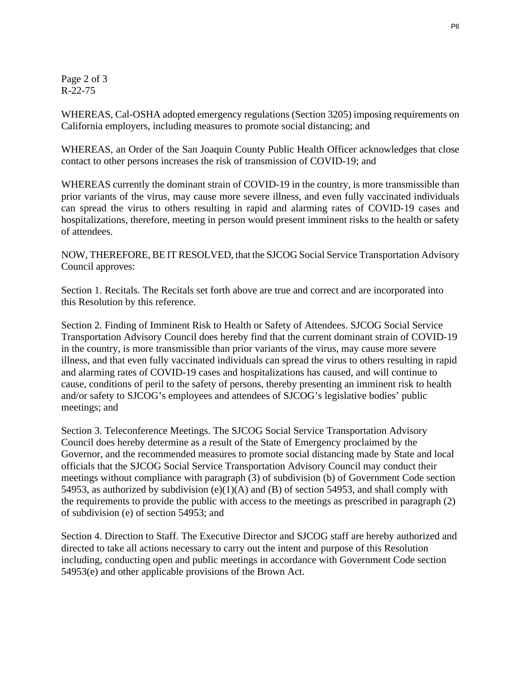Page 2 of 3 R-22-75

WHEREAS, Cal-OSHA adopted emergency regulations (Section 3205) imposing requirements on California employers, including measures to promote social distancing; and

WHEREAS, an Order of the San Joaquin County Public Health Officer acknowledges that close contact to other persons increases the risk of transmission of COVID-19; and

WHEREAS currently the dominant strain of COVID-19 in the country, is more transmissible than prior variants of the virus, may cause more severe illness, and even fully vaccinated individuals can spread the virus to others resulting in rapid and alarming rates of COVID-19 cases and hospitalizations, therefore, meeting in person would present imminent risks to the health or safety of attendees.

NOW, THEREFORE, BE IT RESOLVED, that the SJCOG Social Service Transportation Advisory Council approves:

Section 1. Recitals. The Recitals set forth above are true and correct and are incorporated into this Resolution by this reference.

Section 2. Finding of Imminent Risk to Health or Safety of Attendees. SJCOG Social Service Transportation Advisory Council does hereby find that the current dominant strain of COVID-19 in the country, is more transmissible than prior variants of the virus, may cause more severe illness, and that even fully vaccinated individuals can spread the virus to others resulting in rapid and alarming rates of COVID-19 cases and hospitalizations has caused, and will continue to cause, conditions of peril to the safety of persons, thereby presenting an imminent risk to health and/or safety to SJCOG's employees and attendees of SJCOG's legislative bodies' public meetings; and

Section 3. Teleconference Meetings. The SJCOG Social Service Transportation Advisory Council does hereby determine as a result of the State of Emergency proclaimed by the Governor, and the recommended measures to promote social distancing made by State and local officials that the SJCOG Social Service Transportation Advisory Council may conduct their meetings without compliance with paragraph (3) of subdivision (b) of Government Code section 54953, as authorized by subdivision  $(e)(1)(A)$  and  $(B)$  of section 54953, and shall comply with the requirements to provide the public with access to the meetings as prescribed in paragraph (2) of subdivision (e) of section 54953; and

Section 4. Direction to Staff. The Executive Director and SJCOG staff are hereby authorized and directed to take all actions necessary to carry out the intent and purpose of this Resolution including, conducting open and public meetings in accordance with Government Code section 54953(e) and other applicable provisions of the Brown Act.